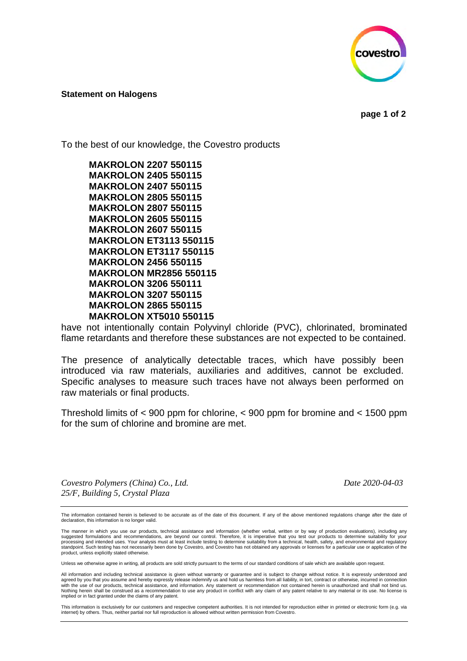

## **Statement on Halogens**

**page 1 of 2** 

To the best of our knowledge, the Covestro products

**MAKROLON 2207 550115 MAKROLON 2405 550115 MAKROLON 2407 550115 MAKROLON 2805 550115 MAKROLON 2807 550115 MAKROLON 2605 550115 MAKROLON 2607 550115 MAKROLON ET3113 550115 MAKROLON ET3117 550115 MAKROLON 2456 550115 MAKROLON MR2856 550115 MAKROLON 3206 550111 MAKROLON 3207 550115 MAKROLON 2865 550115 MAKROLON XT5010 550115** 

have not intentionally contain Polyvinyl chloride (PVC), chlorinated, brominated flame retardants and therefore these substances are not expected to be contained.

The presence of analytically detectable traces, which have possibly been introduced via raw materials, auxiliaries and additives, cannot be excluded. Specific analyses to measure such traces have not always been performed on raw materials or final products.

Threshold limits of < 900 ppm for chlorine, < 900 ppm for bromine and < 1500 ppm for the sum of chlorine and bromine are met.

*Covestro Polymers (China) Co., Ltd. Date 2020-04-03 25/F, Building 5, Crystal Plaza* 

The information contained herein is believed to be accurate as of the date of this document. If any of the above mentioned regulations change after the date of declaration, this information is no longer valid.

Unless we otherwise agree in writing, all products are sold strictly pursuant to the terms of our standard conditions of sale which are available upon request

All information and including technical assistance is given without warranty or guarantee and is subject to change without notice. It is expressly understood and<br>agreed by you that you assume and hereby expressly release i with the use of our products, technical assistance, and information. Any statement or recommendation not contained herein is unauthorized and shall not bind us.<br>Nothing herein shall be construed as a recommendation to use implied or in fact granted under the claims of any patent.

This information is exclusively for our customers and respective competent authorities. It is not intended for reproduction either in printed or electronic form (e.g. via internet) by others. Thus, neither partial nor full reproduction is allowed without written permission from Covestro.

The manner in which you use our products, technical assistance and information (whether verbal, written or by way of production evaluations), including any suggested formulations and recommendations, are beyond our control. Therefore, it is imperative that you test our products to determine suitability for your processing and intended uses. Your analysis must at least include testing to determine suitability from a technical, health, safety, and environmental and regulatory standpoint. Such testing has not necessarily been done by Covestro, and Covestro has not obtained any approvals or licenses for a particular use or application of the product, unless explicitly stated otherwise.